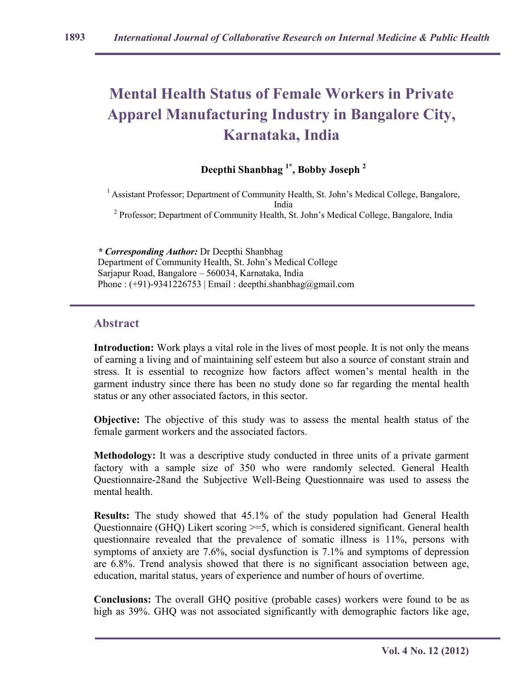# **Mental Health Status of Female Workers in Private Apparel Manufacturing Industry in Bangalore City, Karnataka, India**

## **Deepthi Shanbhag 1\*, Bobby Joseph <sup>2</sup>**

<sup>1</sup> Assistant Professor; Department of Community Health, St. John's Medical College, Bangalore, India <sup>2</sup> Professor; Department of Community Health, St. John's Medical College, Bangalore, India

*\* Corresponding Author:* Dr Deepthi Shanbhag Department of Community Health, St. John's Medical College Sarjapur Road, Bangalore – 560034, Karnataka, India Phone :  $(+91)$ -9341226753 | Email : deepthi.shanbhag@gmail.com

#### **Abstract**

**Introduction:** Work plays a vital role in the lives of most people. It is not only the means of earning a living and of maintaining self esteem but also a source of constant strain and stress. It is essential to recognize how factors affect women's mental health in the garment industry since there has been no study done so far regarding the mental health status or any other associated factors, in this sector.

**Objective:** The objective of this study was to assess the mental health status of the female garment workers and the associated factors.

**Methodology:** It was a descriptive study conducted in three units of a private garment factory with a sample size of 350 who were randomly selected. General Health Questionnaire-28and the Subjective Well-Being Questionnaire was used to assess the mental health.

**Results:** The study showed that 45.1% of the study population had General Health Questionnaire (GHQ) Likert scoring >=5, which is considered significant. General health questionnaire revealed that the prevalence of somatic illness is 11%, persons with symptoms of anxiety are 7.6%, social dysfunction is 7.1% and symptoms of depression are 6.8%. Trend analysis showed that there is no significant association between age, education, marital status, years of experience and number of hours of overtime.

**Conclusions:** The overall GHQ positive (probable cases) workers were found to be as high as 39%. GHQ was not associated significantly with demographic factors like age,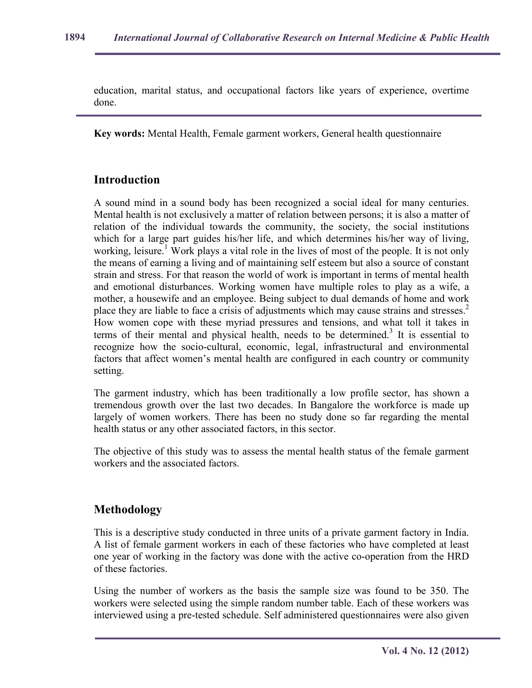education, marital status, and occupational factors like years of experience, overtime done.

**Key words:** Mental Health, Female garment workers, General health questionnaire

## **Introduction**

A sound mind in a sound body has been recognized a social ideal for many centuries. Mental health is not exclusively a matter of relation between persons; it is also a matter of relation of the individual towards the community, the society, the social institutions which for a large part guides his/her life, and which determines his/her way of living, working, leisure.<sup>1</sup> Work plays a vital role in the lives of most of the people. It is not only the means of earning a living and of maintaining self esteem but also a source of constant strain and stress. For that reason the world of work is important in terms of mental health and emotional disturbances. Working women have multiple roles to play as a wife, a mother, a housewife and an employee. Being subject to dual demands of home and work place they are liable to face a crisis of adjustments which may cause strains and stresses. $2$ How women cope with these myriad pressures and tensions, and what toll it takes in terms of their mental and physical health, needs to be determined.<sup>3</sup> It is essential to recognize how the socio-cultural, economic, legal, infrastructural and environmental factors that affect women's mental health are configured in each country or community setting.

The garment industry, which has been traditionally a low profile sector, has shown a tremendous growth over the last two decades. In Bangalore the workforce is made up largely of women workers. There has been no study done so far regarding the mental health status or any other associated factors, in this sector.

The objective of this study was to assess the mental health status of the female garment workers and the associated factors.

## **Methodology**

This is a descriptive study conducted in three units of a private garment factory in India. A list of female garment workers in each of these factories who have completed at least one year of working in the factory was done with the active co-operation from the HRD of these factories.

Using the number of workers as the basis the sample size was found to be 350. The workers were selected using the simple random number table. Each of these workers was interviewed using a pre-tested schedule. Self administered questionnaires were also given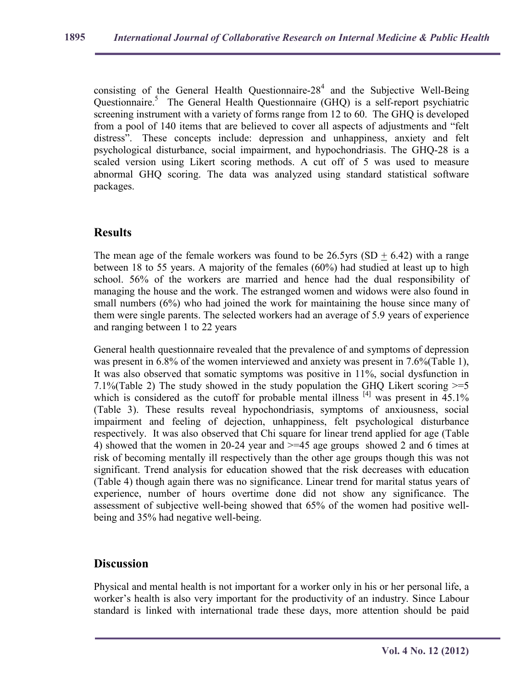consisting of the General Health Questionnaire- $28<sup>4</sup>$  and the Subjective Well-Being Questionnaire.<sup>5</sup> The General Health Questionnaire (GHQ) is a self-report psychiatric screening instrument with a variety of forms range from 12 to 60. The GHQ is developed from a pool of 140 items that are believed to cover all aspects of adjustments and "felt distress". These concepts include: depression and unhappiness, anxiety and felt psychological disturbance, social impairment, and hypochondriasis. The GHQ-28 is a scaled version using Likert scoring methods. A cut off of 5 was used to measure abnormal GHQ scoring. The data was analyzed using standard statistical software packages.

## **Results**

The mean age of the female workers was found to be  $26.5$ yrs (SD + 6.42) with a range between 18 to 55 years. A majority of the females (60%) had studied at least up to high school. 56% of the workers are married and hence had the dual responsibility of managing the house and the work. The estranged women and widows were also found in small numbers (6%) who had joined the work for maintaining the house since many of them were single parents. The selected workers had an average of 5.9 years of experience and ranging between 1 to 22 years

General health questionnaire revealed that the prevalence of and symptoms of depression was present in 6.8% of the women interviewed and anxiety was present in 7.6% (Table 1), It was also observed that somatic symptoms was positive in 11%, social dysfunction in 7.1%(Table 2) The study showed in the study population the GHQ Likert scoring  $>=5$ which is considered as the cutoff for probable mental illness  $[4]$  was present in  $45.1\%$ (Table 3). These results reveal hypochondriasis, symptoms of anxiousness, social impairment and feeling of dejection, unhappiness, felt psychological disturbance respectively. It was also observed that Chi square for linear trend applied for age (Table 4) showed that the women in 20-24 year and >=45 age groups showed 2 and 6 times at risk of becoming mentally ill respectively than the other age groups though this was not significant. Trend analysis for education showed that the risk decreases with education (Table 4) though again there was no significance. Linear trend for marital status years of experience, number of hours overtime done did not show any significance. The assessment of subjective well-being showed that 65% of the women had positive wellbeing and 35% had negative well-being.

#### **Discussion**

Physical and mental health is not important for a worker only in his or her personal life, a worker's health is also very important for the productivity of an industry. Since Labour standard is linked with international trade these days, more attention should be paid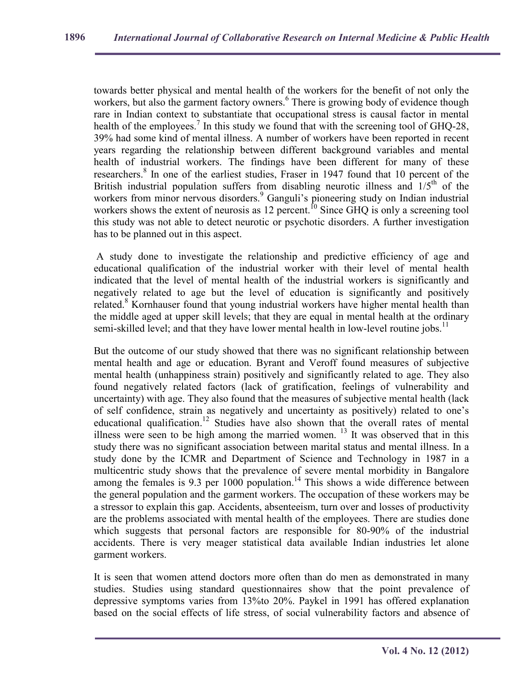towards better physical and mental health of the workers for the benefit of not only the workers, but also the garment factory owners.<sup>6</sup> There is growing body of evidence though rare in Indian context to substantiate that occupational stress is causal factor in mental health of the employees.<sup>7</sup> In this study we found that with the screening tool of GHQ-28, 39% had some kind of mental illness. A number of workers have been reported in recent years regarding the relationship between different background variables and mental health of industrial workers. The findings have been different for many of these researchers.<sup>8</sup> In one of the earliest studies, Fraser in 1947 found that 10 percent of the British industrial population suffers from disabling neurotic illness and  $1/5<sup>th</sup>$  of the workers from minor nervous disorders.<sup>9</sup> Ganguli's pioneering study on Indian industrial workers from finite net case also tast. Sangah s poncering staty on matter mates in this study was not able to detect neurotic or psychotic disorders. A further investigation has to be planned out in this aspect.

 A study done to investigate the relationship and predictive efficiency of age and educational qualification of the industrial worker with their level of mental health indicated that the level of mental health of the industrial workers is significantly and negatively related to age but the level of education is significantly and positively related.<sup>8</sup> Kornhauser found that young industrial workers have higher mental health than the middle aged at upper skill levels; that they are equal in mental health at the ordinary semi-skilled level; and that they have lower mental health in low-level routine jobs.<sup>11</sup>

But the outcome of our study showed that there was no significant relationship between mental health and age or education. Byrant and Veroff found measures of subjective mental health (unhappiness strain) positively and significantly related to age. They also found negatively related factors (lack of gratification, feelings of vulnerability and uncertainty) with age. They also found that the measures of subjective mental health (lack of self confidence, strain as negatively and uncertainty as positively) related to one's educational qualification.<sup>12</sup> Studies have also shown that the overall rates of mental illness were seen to be high among the married women. <sup>13</sup> It was observed that in this study there was no significant association between marital status and mental illness. In a study done by the ICMR and Department of Science and Technology in 1987 in a multicentric study shows that the prevalence of severe mental morbidity in Bangalore among the females is  $9.3$  per  $1000$  population.<sup>14</sup> This shows a wide difference between the general population and the garment workers. The occupation of these workers may be a stressor to explain this gap. Accidents, absenteeism, turn over and losses of productivity are the problems associated with mental health of the employees. There are studies done which suggests that personal factors are responsible for 80-90% of the industrial accidents. There is very meager statistical data available Indian industries let alone garment workers.

It is seen that women attend doctors more often than do men as demonstrated in many studies. Studies using standard questionnaires show that the point prevalence of depressive symptoms varies from 13%to 20%. Paykel in 1991 has offered explanation based on the social effects of life stress, of social vulnerability factors and absence of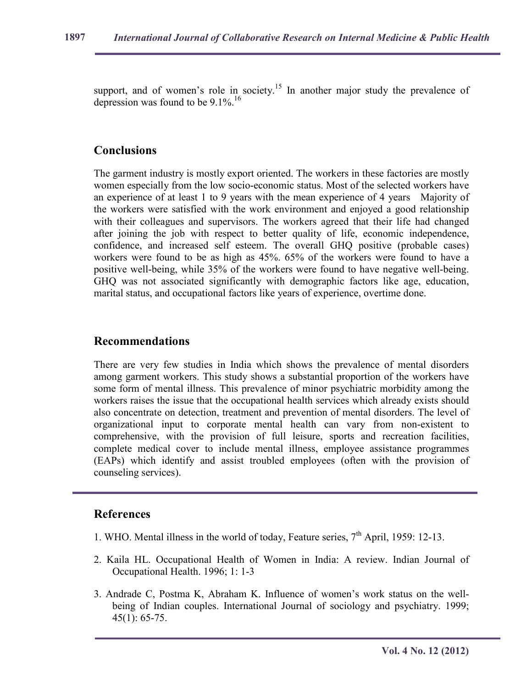support, and of women's role in society.<sup>15</sup> In another major study the prevalence of depression was found to be  $9.1\%$ .<sup>16</sup>

### **Conclusions**

The garment industry is mostly export oriented. The workers in these factories are mostly women especially from the low socio-economic status. Most of the selected workers have an experience of at least 1 to 9 years with the mean experience of 4 years Majority of the workers were satisfied with the work environment and enjoyed a good relationship with their colleagues and supervisors. The workers agreed that their life had changed after joining the job with respect to better quality of life, economic independence, confidence, and increased self esteem. The overall GHQ positive (probable cases) workers were found to be as high as 45%. 65% of the workers were found to have a positive well-being, while 35% of the workers were found to have negative well-being. GHQ was not associated significantly with demographic factors like age, education, marital status, and occupational factors like years of experience, overtime done.

#### **Recommendations**

There are very few studies in India which shows the prevalence of mental disorders among garment workers. This study shows a substantial proportion of the workers have some form of mental illness. This prevalence of minor psychiatric morbidity among the workers raises the issue that the occupational health services which already exists should also concentrate on detection, treatment and prevention of mental disorders. The level of organizational input to corporate mental health can vary from non-existent to comprehensive, with the provision of full leisure, sports and recreation facilities, complete medical cover to include mental illness, employee assistance programmes (EAPs) which identify and assist troubled employees (often with the provision of counseling services).

### **References**

- 1. WHO. Mental illness in the world of today, Feature series, 7<sup>th</sup> April, 1959: 12-13.
- 2. Kaila HL. Occupational Health of Women in India: A review. Indian Journal of Occupational Health. 1996; 1: 1-3
- 3. Andrade C, Postma K, Abraham K. Influence of women's work status on the wellbeing of Indian couples. International Journal of sociology and psychiatry. 1999; 45(1): 65-75.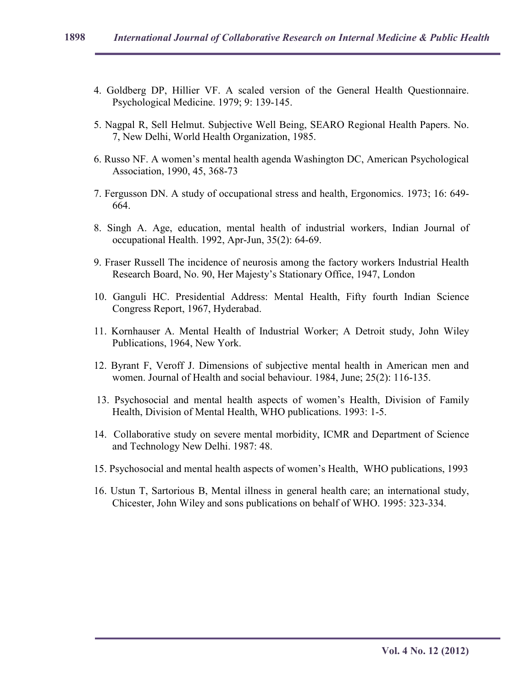- 4. Goldberg DP, Hillier VF. A scaled version of the General Health Questionnaire. Psychological Medicine. 1979; 9: 139-145.
- 5. Nagpal R, Sell Helmut. Subjective Well Being, SEARO Regional Health Papers. No. 7, New Delhi, World Health Organization, 1985.
- 6. Russo NF. A women's mental health agenda Washington DC, American Psychological Association, 1990, 45, 368-73
- 7. Fergusson DN. A study of occupational stress and health, Ergonomics. 1973; 16: 649- 664.
- 8. Singh A. Age, education, mental health of industrial workers, Indian Journal of occupational Health. 1992, Apr-Jun, 35(2): 64-69.
- 9. Fraser Russell The incidence of neurosis among the factory workers Industrial Health Research Board, No. 90, Her Majesty's Stationary Office, 1947, London
- 10. Ganguli HC. Presidential Address: Mental Health, Fifty fourth Indian Science Congress Report, 1967, Hyderabad.
- 11. Kornhauser A. Mental Health of Industrial Worker; A Detroit study, John Wiley Publications, 1964, New York.
- 12. Byrant F, Veroff J. Dimensions of subjective mental health in American men and women. Journal of Health and social behaviour. 1984, June; 25(2): 116-135.
- 13. Psychosocial and mental health aspects of women's Health, Division of Family Health, Division of Mental Health, WHO publications. 1993: 1-5.
- 14. Collaborative study on severe mental morbidity, ICMR and Department of Science and Technology New Delhi. 1987: 48.
- 15. Psychosocial and mental health aspects of women's Health, WHO publications, 1993
- 16. Ustun T, Sartorious B, Mental illness in general health care; an international study, Chicester, John Wiley and sons publications on behalf of WHO. 1995: 323-334.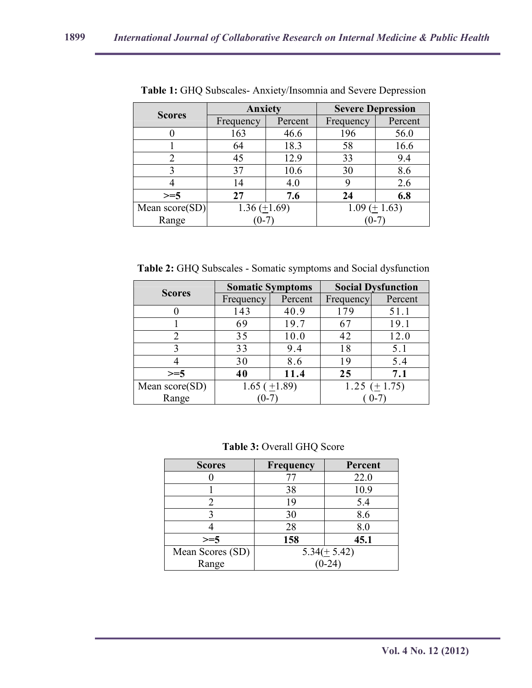| <b>Scores</b>  | <b>Anxiety</b>      |         | <b>Severe Depression</b>       |         |  |
|----------------|---------------------|---------|--------------------------------|---------|--|
|                | Frequency           | Percent | Frequency                      | Percent |  |
|                | 163                 | 46.6    | 196                            | 56.0    |  |
|                | 64                  | 18.3    | 58                             | 16.6    |  |
| 2              | 45                  | 12.9    | 33                             | 9.4     |  |
|                | 37                  | 10.6    | 30                             | 8.6     |  |
|                | 14                  | 4.0     | 9                              | 2.6     |  |
| $>=5$          | 27                  | 7.6     | 24                             | 6.8     |  |
| Mean score(SD) | $1.36 \ (\pm 1.69)$ |         | $1.09 \left( \pm 1.63 \right)$ |         |  |
| Range          |                     |         |                                |         |  |

**Table 1:** GHQ Subscales- Anxiety/Insomnia and Severe Depression

**Table 2:** GHQ Subscales - Somatic symptoms and Social dysfunction

| <b>Scores</b>    | <b>Somatic Symptoms</b> |         | <b>Social Dysfunction</b> |         |
|------------------|-------------------------|---------|---------------------------|---------|
|                  | Frequency               | Percent | Frequency                 | Percent |
|                  | 143                     | 40.9    | 179                       | 51.1    |
|                  | 69                      | 19.7    | 67                        | 19.1    |
|                  | 35                      | 10.0    | 42                        | 12.0    |
|                  | 33                      | 9.4     | 18                        | 5.1     |
|                  | 30                      | 8.6     | 19                        | 5.4     |
| $>=$ 5           | 40                      | 11.4    | 25                        | 7.1     |
| Mean $score(SD)$ | $1.65 \ (\pm 1.89)$     |         | 1.25 $(\pm 1.75)$         |         |
| Range            |                         |         |                           |         |

**Table 3:** Overall GHQ Score

| <b>Scores</b>    | <b>Frequency</b> | Percent          |  |
|------------------|------------------|------------------|--|
|                  | 77               | 22.0             |  |
|                  | 38               | 10.9             |  |
|                  | 19               | 5.4              |  |
|                  | 30               | 8.6              |  |
|                  | 28               | 8.0              |  |
| $>=5$            | 158              | 45.1             |  |
| Mean Scores (SD) |                  | $5.34(\pm 5.42)$ |  |
| Range            |                  |                  |  |